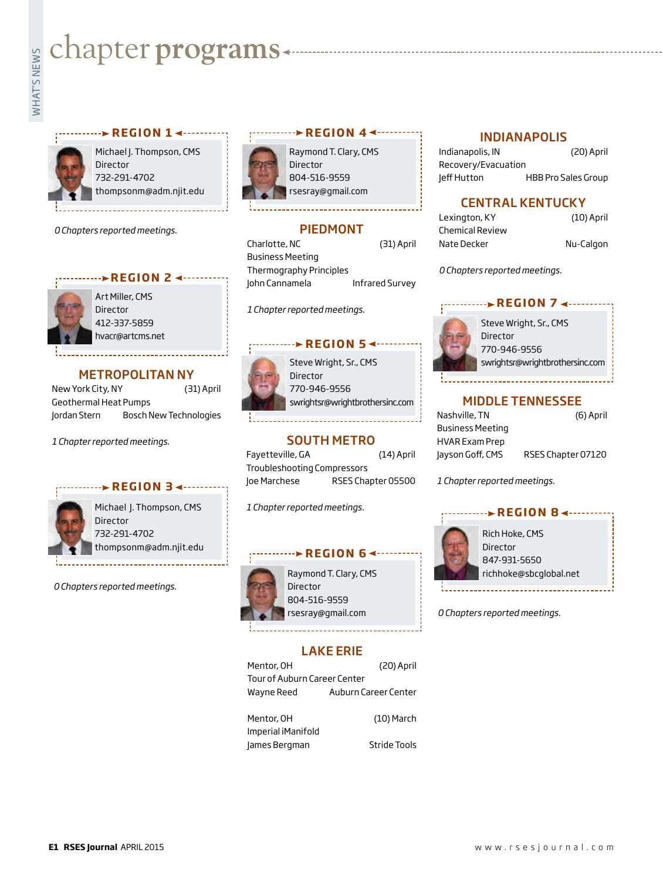# **Exampler programs**<br>Example:<br>Fig.



Michael J. Thompson, CMS Director 732-291-4702 thompsonm@adm.njit.edu

**REGION 1 ∢ - - - - - - -**

*0 Chapters reported meetings.*



Art Miller, CMS **Director** 412-337-5859 hvacr@artcms.net

#### METROPOLITAN NY

New York City, NY (31) April Geothermal Heat Pumps Jordan Stern Bosch New Technologies

*1 Chapter reported meetings.*

#### **REGION 3 → -------**



Michael J. Thompson, CMS Director 732-291-4702 thompsonm@adm.njit.edu

*0 Chapters reported meetings.*



Raymond T. Clary, CMS Director 804-516-9559 rsesray@gmail.com

#### PIEDMONT

Charlotte, NC (31) April Business Meeting Thermography Principles John Cannamela Infrared Survey

*1 Chapter reported meetings.*

#### **REGION 5 <-**



Steve Wright, Sr., CMS Director 770-946-9556 swrightsr@wrightbrothersinc.com

#### SOUTH METRO

Fayetteville, GA (14) April Troubleshooting Compressors Joe Marchese RSES Chapter 05500

*1 Chapter reported meetings.*

# **REGION 6**



Raymond T. Clary, CMS Director 804-516-9559 rsesray@gmail.com

## LAKE ERIE

| Mentor, OH                   | (20) April           |  |
|------------------------------|----------------------|--|
| Tour of Auburn Career Center |                      |  |
| Wayne Reed                   | Auburn Career Center |  |
|                              |                      |  |
| Mentor, OH                   | $(10)$ March         |  |
| Imperial iManifold           |                      |  |

James Bergman Stride Tools

#### INDIANAPOLIS

Indianapolis, IN (20) April Recovery/Evacuation Jeff Hutton HBB Pro Sales Group

#### CENTRAL KENTUCKY

| Lexington, KY          |
|------------------------|
| <b>Chemical Review</b> |
| Nate Decker            |

Lexington, KY (10) April er Nu-Calgon

*0 Chapters reported meetings.*

#### **EXEGION 7 <------**



Steve Wright, Sr., CMS Director 770-946-9556 swrightsr@wrightbrothersinc.com

#### MIDDLE TENNESSEE

| Nashville, TN           | (6) April          |
|-------------------------|--------------------|
| <b>Business Meeting</b> |                    |
| <b>HVAR Exam Prep</b>   |                    |
| Jayson Goff, CMS        | RSES Chapter 07120 |

*1 Chapter reported meetings.*



*0 Chapters reported meetings.*